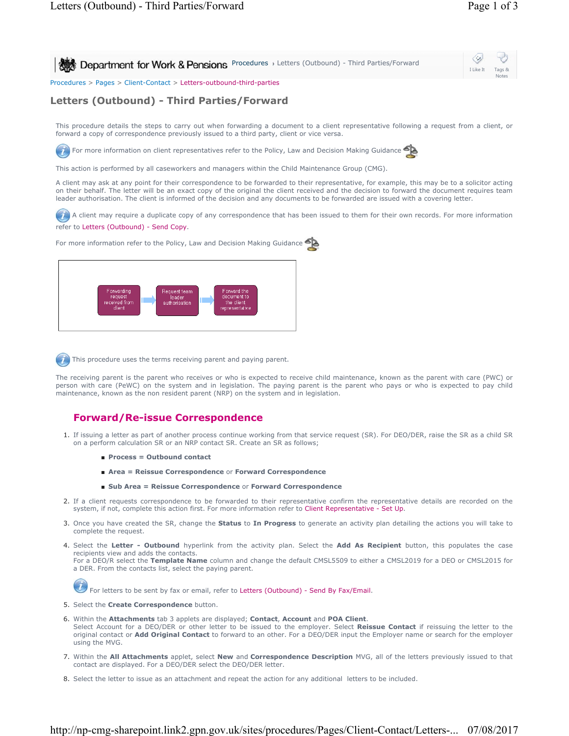

## **Letters (Outbound) - Third Parties/Forward**

This procedure details the steps to carry out when forwarding a document to a client representative following a request from a client, or forward a copy of correspondence previously issued to a third party, client or vice versa.

For more information on client representatives refer to the Policy, Law and Decision Making Guidance

This action is performed by all caseworkers and managers within the Child Maintenance Group (CMG).

A client may ask at any point for their correspondence to be forwarded to their representative, for example, this may be to a solicitor acting on their behalf. The letter will be an exact copy of the original the client received and the decision to forward the document requires team leader authorisation. The client is informed of the decision and any documents to be forwarded are issued with a covering letter.

A client may require a duplicate copy of any correspondence that has been issued to them for their own records. For more information refer to Letters (Outbound) - Send Copy.

For more information refer to the Policy, Law and Decision Making Guidance



This procedure uses the terms receiving parent and paying parent.

The receiving parent is the parent who receives or who is expected to receive child maintenance, known as the parent with care (PWC) or person with care (PeWC) on the system and in legislation. The paying parent is the parent who pays or who is expected to pay child maintenance, known as the non resident parent (NRP) on the system and in legislation.

## **Forward/Re-issue Correspondence**

- 1. If issuing a letter as part of another process continue working from that service request (SR). For DEO/DER, raise the SR as a child SR on a perform calculation SR or an NRP contact SR. Create an SR as follows;
	- **Process = Outbound contact**
	- **Area = Reissue Correspondence** or **Forward Correspondence**
	- **Sub Area = Reissue Correspondence** or **Forward Correspondence**
- 2. If a client requests correspondence to be forwarded to their representative confirm the representative details are recorded on the system, if not, complete this action first. For more information refer to Client Representative - Set Up.
- Once you have created the SR, change the **Status** to **In Progress** to generate an activity plan detailing the actions you will take to 3. complete the request.
- 4. Select the Letter Outbound hyperlink from the activity plan. Select the Add As Recipient button, this populates the case recipients view and adds the contacts. For a DEO/R select the **Template Name** column and change the default CMSL5509 to either a CMSL2019 for a DEO or CMSL2015 for a DER. From the contacts list, select the paying parent.

For letters to be sent by fax or email, refer to Letters (Outbound) - Send By Fax/Email.

- 5. Select the **Create Correspondence** button.
- Within the **Attachments** tab 3 applets are displayed; **Contact**, **Account** and **POA Client**. 6. Select Account for a DEO/DER or other letter to be issued to the employer. Select **Reissue Contact** if reissuing the letter to the original contact or **Add Original Contact** to forward to an other. For a DEO/DER input the Employer name or search for the employer using the MVG.
- 7. Within the All Attachments applet, select New and Correspondence Description MVG, all of the letters previously issued to that contact are displayed. For a DEO/DER select the DEO/DER letter.
- 8. Select the letter to issue as an attachment and repeat the action for any additional letters to be included.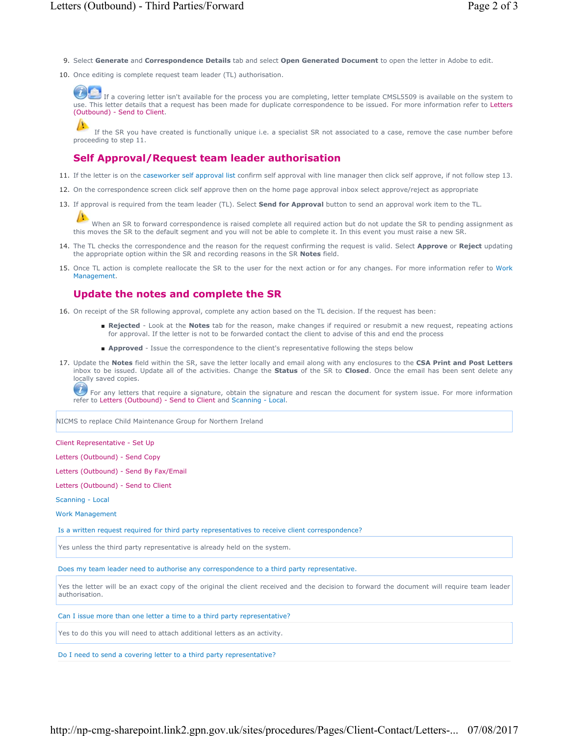- 9. Select **Generate** and **Correspondence Details** tab and select **Open Generated Document** to open the letter in Adobe to edit.
- 10. Once editing is complete request team leader (TL) authorisation.

If a covering letter isn't available for the process you are completing, letter template CMSL5509 is available on the system to use. This letter details that a request has been made for duplicate correspondence to be issued. For more information refer to Letters (Outbound) - Send to Client.

If the SR you have created is functionally unique i.e. a specialist SR not associated to a case, remove the case number before proceeding to step 11.

## **Self Approval/Request team leader authorisation**

- 11. If the letter is on the caseworker self approval list confirm self approval with line manager then click self approve, if not follow step 13.
- 12. On the correspondence screen click self approve then on the home page approval inbox select approve/reject as appropriate
- 13. If approval is required from the team leader (TL). Select **Send for Approval** button to send an approval work item to the TL.

When an SR to forward correspondence is raised complete all required action but do not update the SR to pending assignment as this moves the SR to the default segment and you will not be able to complete it. In this event you must raise a new SR.

- 14. The TL checks the correspondence and the reason for the request confirming the request is valid. Select **Approve** or Reject updating the appropriate option within the SR and recording reasons in the SR **Notes** field.
- 15. Once TL action is complete reallocate the SR to the user for the next action or for any changes. For more information refer to Work Management.

## **Update the notes and complete the SR**

- 16. On receipt of the SR following approval, complete any action based on the TL decision. If the request has been:
	- Rejected Look at the Notes tab for the reason, make changes if required or resubmit a new request, repeating actions for approval. If the letter is not to be forwarded contact the client to advise of this and end the process
	- **Approved** Issue the correspondence to the client's representative following the steps below
- 17. Update the Notes field within the SR, save the letter locally and email along with any enclosures to the CSA Print and Post Letters inbox to be issued. Update all of the activities. Change the **Status** of the SR to **Closed**. Once the email has been sent delete any locally saved copies.

 $\bm{U}$  For any letters that require a signature, obtain the signature and rescan the document for system issue. For more information refer to Letters (Outbound) - Send to Client and Scanning - Local.

NICMS to replace Child Maintenance Group for Northern Ireland

Client Representative - Set Up

Letters (Outbound) - Send Copy

Letters (Outbound) - Send By Fax/Email

Letters (Outbound) - Send to Client

Scanning - Local

Work Management

Is a written request required for third party representatives to receive client correspondence?

Yes unless the third party representative is already held on the system.

Does my team leader need to authorise any correspondence to a third party representative.

Yes the letter will be an exact copy of the original the client received and the decision to forward the document will require team leader authorisation.

Can I issue more than one letter a time to a third party representative?

Yes to do this you will need to attach additional letters as an activity.

Do I need to send a covering letter to a third party representative?